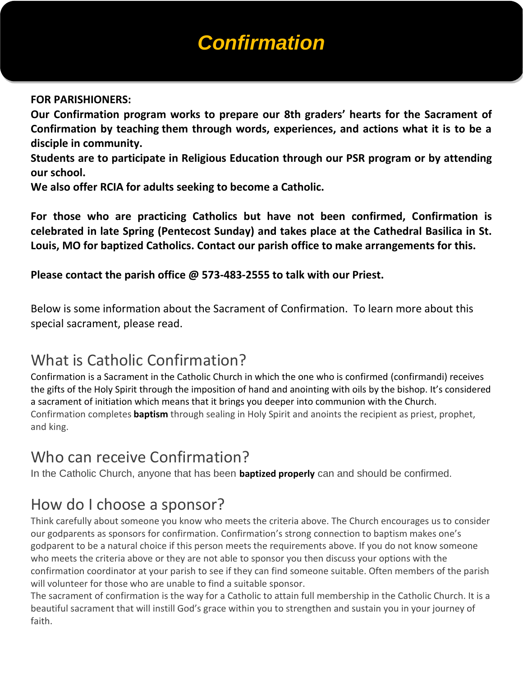# *Confirmation*

#### **FOR PARISHIONERS:**

**Our Confirmation program works to prepare our 8th graders' hearts for the Sacrament of Confirmation by teaching them through words, experiences, and actions what it is to be a disciple in community.**

**Students are to participate in Religious Education through our PSR program or by attending our school.**

**We also offer RCIA for adults seeking to become a Catholic.**

**For those who are practicing Catholics but have not been confirmed, Confirmation is celebrated in late Spring (Pentecost Sunday) and takes place at the Cathedral Basilica in St. Louis, MO for baptized Catholics. Contact our parish office to make arrangements for this.**

**Please contact the parish office @ 573-483-2555 to talk with our Priest.**

Below is some information about the Sacrament of Confirmation. To learn more about this special sacrament, please read.

#### What is Catholic Confirmation?

Confirmation is a Sacrament in the Catholic Church in which the one who is confirmed (confirmandi) receives the gifts of the Holy Spirit through the imposition of hand and anointing with oils by the bishop. It's considered a sacrament of initiation which means that it brings you deeper into communion with the Church. Confirmation completes **[baptism](http://www.aboutcatholics.com/beliefs/a-guide-to-catholic-baptism/)** through sealing in Holy Spirit and anoints the recipient as priest, prophet, and king.

#### Who can receive Confirmation?

In the Catholic Church, anyone that has been **[baptized properly](http://www.aboutcatholics.com/beliefs/a-guide-to-catholic-baptism/)** can and should be confirmed.

#### How do I choose a sponsor?

Think carefully about someone you know who meets the criteria above. The Church encourages us to consider our godparents as sponsors for confirmation. Confirmation's strong connection to baptism makes one's godparent to be a natural choice if this person meets the requirements above. If you do not know someone who meets the criteria above or they are not able to sponsor you then discuss your options with the confirmation coordinator at your parish to see if they can find someone suitable. Often members of the parish will volunteer for those who are unable to find a suitable sponsor.

The sacrament of confirmation is the way for a Catholic to attain full membership in the Catholic Church. It is a beautiful sacrament that will instill God's grace within you to strengthen and sustain you in your journey of faith.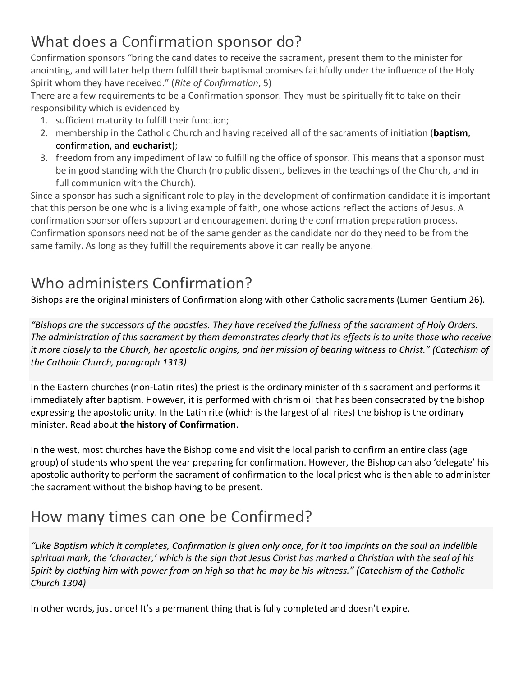### What does a Confirmation sponsor do?

Confirmation sponsors "bring the candidates to receive the sacrament, present them to the minister for anointing, and will later help them fulfill their baptismal promises faithfully under the influence of the Holy Spirit whom they have received." (*Rite of Confirmation*, 5)

There are a few requirements to be a Confirmation sponsor. They must be spiritually fit to take on their responsibility which is evidenced by

- 1. sufficient maturity to fulfill their function;
- 2. membership in the Catholic Church and having received all of the sacraments of initiation (**[baptism](http://www.aboutcatholics.com/beliefs/a-guide-to-catholic-baptism/)**, confirmation, and **[eucharist](http://www.aboutcatholics.com/beliefs/the-eucharist/)**);
- 3. freedom from any impediment of law to fulfilling the office of sponsor. This means that a sponsor must be in good standing with the Church (no public dissent, believes in the teachings of the Church, and in full communion with the Church).

Since a sponsor has such a significant role to play in the development of confirmation candidate it is important that this person be one who is a living example of faith, one whose actions reflect the actions of Jesus. A confirmation sponsor offers support and encouragement during the confirmation preparation process. Confirmation sponsors need not be of the same gender as the candidate nor do they need to be from the same family. As long as they fulfill the requirements above it can really be anyone.

# Who administers Confirmation?

Bishops are the original ministers of Confirmation along with other Catholic sacraments (Lumen Gentium 26).

*"Bishops are the successors of the apostles. They have received the fullness of the sacrament of Holy Orders. The administration of this sacrament by them demonstrates clearly that its effects is to unite those who receive it more closely to the Church, her apostolic origins, and her mission of bearing witness to Christ." (Catechism of the Catholic Church, paragraph 1313)*

In the Eastern churches (non-Latin rites) the priest is the ordinary minister of this sacrament and performs it immediately after baptism. However, it is performed with chrism oil that has been consecrated by the bishop expressing the apostolic unity. In the Latin rite (which is the largest of all rites) the bishop is the ordinary minister. Read about **[the history of Confirmation](http://www.aboutcatholics.com/beliefs/a-history-of-confirmation/)**.

In the west, most churches have the Bishop come and visit the local parish to confirm an entire class (age group) of students who spent the year preparing for confirmation. However, the Bishop can also 'delegate' his apostolic authority to perform the sacrament of confirmation to the local priest who is then able to administer the sacrament without the bishop having to be present.

# How many times can one be Confirmed?

"Like Baptism which it completes, Confirmation is given only once, for it too imprints on the soul an *indelible spiritual mark, the 'character,' which is the sign that Jesus Christ has marked a Christian with the seal of his Spirit by clothing him with power from on high so that he may be his witness." (Catechism of the Catholic Church 1304)*

In other words, just once! It's a permanent thing that is fully completed and doesn't expire.